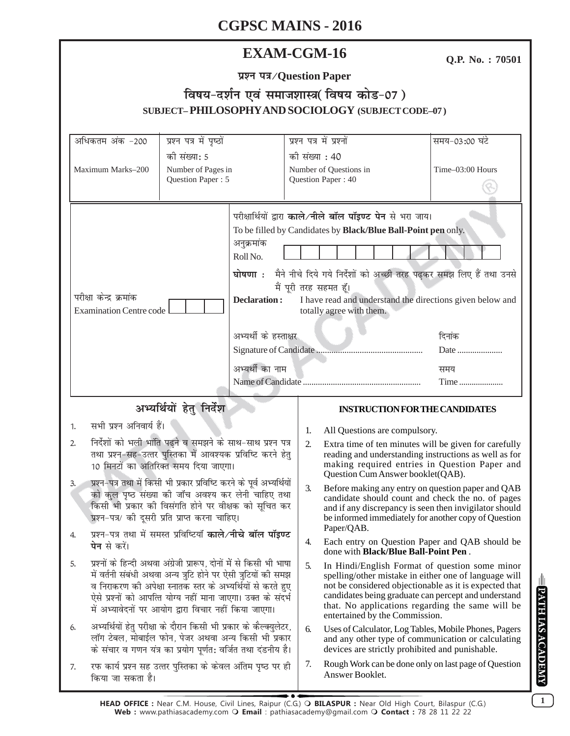## **EXAM-CGM-16**

Q.P. No.: 70501

| प्रश्न पत्र/Question Paper |
|----------------------------|
|----------------------------|

#### विषय-दर्शन एवं समाजशास्त्र(विषय कोड-07) **PHILOSOPHY AND SOCIOL OF**  $T_{\text{P}}$   $\cap$   $\cap$   $\overline{D}$   $\cap$   $\overline{D}$   $\cap$ **CITD IE CT**  $\mathbf V$  (ct

|                                                                                                                                                                                                                                                                                                                                                                                                                                                               |                                                                                                                                                                                                                                                                                                                                |                          | SUBJEC I – FINLLOSOFII I AND SOCIOLOG I (SUBJEC I CODE–07)                                                                                                                                                                                                                                                      |                       |
|---------------------------------------------------------------------------------------------------------------------------------------------------------------------------------------------------------------------------------------------------------------------------------------------------------------------------------------------------------------------------------------------------------------------------------------------------------------|--------------------------------------------------------------------------------------------------------------------------------------------------------------------------------------------------------------------------------------------------------------------------------------------------------------------------------|--------------------------|-----------------------------------------------------------------------------------------------------------------------------------------------------------------------------------------------------------------------------------------------------------------------------------------------------------------|-----------------------|
| अधिकतम अंक -200                                                                                                                                                                                                                                                                                                                                                                                                                                               | प्रश्न पत्र में पृष्ठों                                                                                                                                                                                                                                                                                                        | प्रश्न पत्र में प्रश्नों |                                                                                                                                                                                                                                                                                                                 | समय-03:00 घंटे        |
|                                                                                                                                                                                                                                                                                                                                                                                                                                                               | की संख्या: 5                                                                                                                                                                                                                                                                                                                   | की संख्या : 40           |                                                                                                                                                                                                                                                                                                                 |                       |
| Maximum Marks-200                                                                                                                                                                                                                                                                                                                                                                                                                                             | Number of Pages in                                                                                                                                                                                                                                                                                                             | Number of Questions in   |                                                                                                                                                                                                                                                                                                                 | Time-03:00 Hours      |
|                                                                                                                                                                                                                                                                                                                                                                                                                                                               | Question Paper: 5                                                                                                                                                                                                                                                                                                              | Question Paper: 40       |                                                                                                                                                                                                                                                                                                                 |                       |
| परीक्षा केन्द्र क्रमांक<br><b>Examination Centre code</b>                                                                                                                                                                                                                                                                                                                                                                                                     | अनुक्रमांक<br>Roll No.<br>घोषणा $\cdot$<br><b>Declaration:</b><br>अभ्यर्थी के हस्ताक्षर<br>अभ्यर्थी का नाम                                                                                                                                                                                                                     | मैं पूरी तरह सहमत हूँ।   | परीक्षार्थियों द्वारा काले/नीले बॉल पॉइण्ट पेन से भरा जाय।<br>To be filled by Candidates by Black/Blue Ball-Point pen only.<br>मैने नीचे दिये गये निर्देशों को अच्छी तरह पढ़कर समझ लिए हैं तथा उनसे<br>I have read and understand the directions given below and<br>totally agree with them.                    | दिनांक<br>Date<br>समय |
|                                                                                                                                                                                                                                                                                                                                                                                                                                                               |                                                                                                                                                                                                                                                                                                                                |                          |                                                                                                                                                                                                                                                                                                                 | Time                  |
|                                                                                                                                                                                                                                                                                                                                                                                                                                                               | अभ्यर्थियों हेतु निर्देश                                                                                                                                                                                                                                                                                                       |                          | <b>INSTRUCTION FOR THE CANDIDATES</b>                                                                                                                                                                                                                                                                           |                       |
| सभी प्रश्न अनिवार्य हैं।<br>1.<br>निर्देशों को भली भांति पढ़ने व समझने के साथ-साथ प्रश्न पत्र<br>2.<br>तथा प्रश्न-सह-उत्तर पुस्तिका में आवश्यक प्रविष्टि करने हेतु<br>10 मिनटों का अतिरिक्त समय दिया जाएगा।<br>प्रश्न-पत्र तथा में किसी भी प्रकार प्रविष्टि करने के पूर्व अभ्यर्थियों<br>3.<br>को कुल पृष्ठ संख्या की जाँच अवश्य कर लेनी चाहिए तथा<br>किसी भी प्रकार की विसंगति होने पर वीक्षक को सूचित कर<br>प्रश्न-पत्र/ की दूसरी प्रति प्राप्त करना चाहिए। |                                                                                                                                                                                                                                                                                                                                |                          | All Questions are compulsory.                                                                                                                                                                                                                                                                                   |                       |
|                                                                                                                                                                                                                                                                                                                                                                                                                                                               |                                                                                                                                                                                                                                                                                                                                |                          | Extra time of ten minutes will be given for carefully<br>reading and understanding instructions as well as for<br>making required entries in Question Paper and<br>Question Cum Answer booklet(QAB).                                                                                                            |                       |
|                                                                                                                                                                                                                                                                                                                                                                                                                                                               |                                                                                                                                                                                                                                                                                                                                |                          | Before making any entry on question paper and QAB<br>candidate should count and check the no. of pages<br>and if any discrepancy is seen then invigilator should<br>be informed immediately for another copy of Question<br>Paper/QAB.                                                                          |                       |
| प्रश्न-पत्र तथा में समस्त प्रविष्टियाँ काले/नीचे बॉल पॉइण्ट<br>4.<br><b>पेन</b> से करें।                                                                                                                                                                                                                                                                                                                                                                      |                                                                                                                                                                                                                                                                                                                                | 4.                       | Each entry on Question Paper and QAB should be<br>done with <b>Black/Blue Ball-Point Pen</b> .                                                                                                                                                                                                                  |                       |
| 5.                                                                                                                                                                                                                                                                                                                                                                                                                                                            | प्रश्नों के हिन्दी अथवा अंग्रेजी प्रारूप, दोनों में से किसी भी भाषा<br>में वर्तनी संबंधी अथवा अन्य त्रुटि होने पर ऐसी त्रुटियों की समझ<br>व निराकरण की अपेक्षा स्नातक स्तर के अभ्यर्थियों से करते हुए<br>ऐसे प्रश्नों को आपत्ति योग्य नहीं माना जाएगा। उक्त के संदर्भ<br>में अभ्यावेदनों पर आयोग द्वारा विचार नहीं किया जाएगा। | 5.                       | In Hindi/English Format of question some minor<br>spelling/other mistake in either one of language will<br>not be considered objectionable as it is expected that<br>candidates being graduate can percept and understand<br>that. No applications regarding the same will be<br>entertained by the Commission. |                       |
| 6.                                                                                                                                                                                                                                                                                                                                                                                                                                                            | अभ्यर्थियों हेतु परीक्षा के दौरान किसी भी प्रकार के कैल्क्युलेटर,<br>लॉग टेबल, मोबाईल फोन, पेजर अथवा अन्य किसी भी प्रकार<br>के संचार व गणन यंत्र का प्रयोग पूर्णत: वर्जित तथा दंडनीय है।                                                                                                                                       | 6.                       | Uses of Calculator, Log Tables, Mobile Phones, Pagers<br>and any other type of communication or calculating<br>devices are strictly prohibited and punishable.                                                                                                                                                  |                       |
| 7.<br>किया जा सकता है।                                                                                                                                                                                                                                                                                                                                                                                                                                        | रफ कार्य प्रश्न सह उत्तर पुस्तिका के केवल अंतिम पृष्ठ पर ही                                                                                                                                                                                                                                                                    | 7.                       | Rough Work can be done only on last page of Question<br>Answer Booklet.                                                                                                                                                                                                                                         |                       |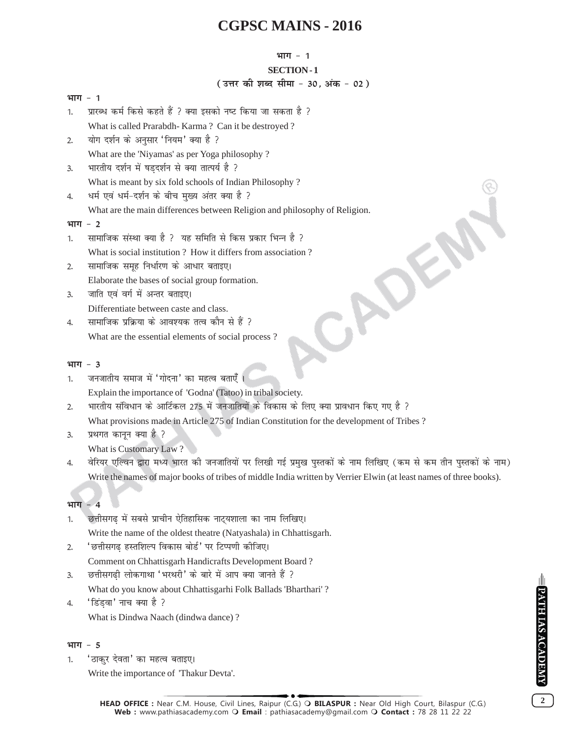#### **भाग - 1**

### **SECTION - 1**

## **( उत्तर की शब्द सीमा - 30, अंक - 02)**

| भाग - 1  |                                                                            |
|----------|----------------------------------------------------------------------------|
| 1.       | प्रारब्ध कर्म किसे कहते हैं ? क्या इसको नष्ट किया जा सकता है ?             |
|          | What is called Prarabdh-Karma? Can it be destroyed?                        |
| 2.       | योग दर्शन के अनुसार 'नियम' क्या है ?                                       |
|          | What are the 'Niyamas' as per Yoga philosophy?                             |
| 3.       | भारतीय दर्शन में षड़दर्शन से क्या तात्पर्य है ?                            |
|          | What is meant by six fold schools of Indian Philosophy?                    |
| 4.       | धर्म एवं धर्म-दर्शन के बीच मुख्य अंतर क्या है ?                            |
|          | What are the main differences between Religion and philosophy of Religion. |
| भाग - 2  |                                                                            |
| 1.       | सामाजिक संस्था क्या है ?  यह समिति से किस प्रकार भिन्न है ?                |
|          | What is social institution? How it differs from association?               |
| 2.       | सामाजिक समूह निर्धारण के आधार बताइए।                                       |
|          | Elaborate the bases of social group formation.                             |
| 3.       | जाति एवं वर्ग में अन्तर बताइए।                                             |
|          | Differentiate between caste and class.                                     |
| 4.       | सामाजिक प्रक्रिया के आवश्यक तत्व कौन से हैं ?                              |
|          | What are the essential elements of social process?                         |
|          |                                                                            |
| भाग $-3$ |                                                                            |
| 1.       | जनजातीय समाज में 'गोदना' का महत्व बताएँ ।                                  |
|          | Explain the importance of 'Godna' (Tatoo) in tribal society.               |
|          |                                                                            |

- 2. भारतीय संविधान के आर्टिकल 275 में जनजातियों के विकास के लिए क्या प्रावधान किए गए है ? What provisions made in Article 275 of Indian Constitution for the development of Tribes ?
- 3. प्रथगत कानून क्या है ? What is Customary Law ?
- 4. वेरियर एल्विन द्वारा मध्य भारत की जनजातियों पर लिखी गई प्रमुख पुस्तकों के नाम लिखिए (कम से कम तीन पुस्तकों के नाम) Write the names of major books of tribes of middle India written by Verrier Elwin (at least names of three books).

## **भाग - 4**

- 1. छत्तीसगढ में सबसे प्राचीन ऐतिहासिक नाट्यशाला का नाम लिखिए। Write the name of the oldest theatre (Natyashala) in Chhattisgarh.
- 2. 'छत्तीसगढ हस्तशिल्प विकास बोर्ड' पर टिप्पणी कीजिए।

Comment on Chhattisgarh Handicrafts Development Board ?

3. छत्तीसगढी लोकगाथा 'भरथरी' के बारे में आप क्या जानते हैं ?

What do you know about Chhattisgarhi Folk Ballads 'Bharthari' ?

4. 'डिंड़वा' नाच क्या है ? What is Dindwa Naach (dindwa dance) ?

## **भाग - 5**

1. 'ठाकुर देवता' का महत्व बताइए।

Write the importance of 'Thakur Devta'.

**PATH IAS ACADEMY**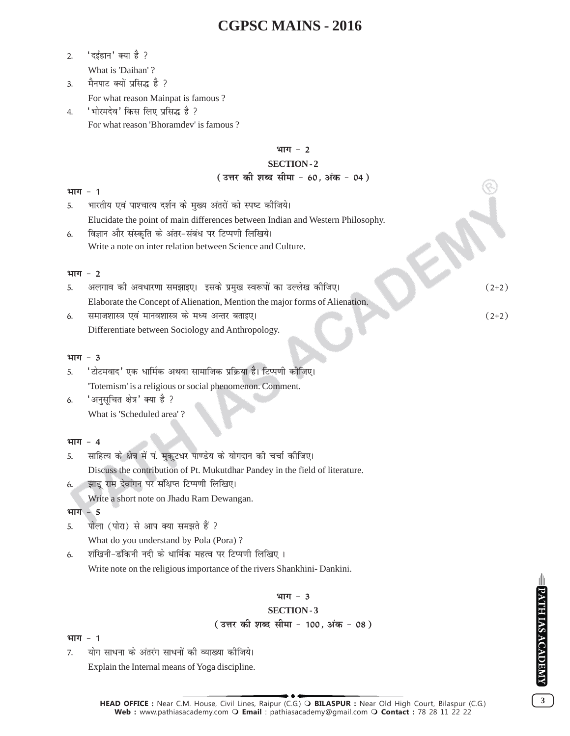- 2. 'दईहान' क्या है ? What is 'Daihan' ?
- 3. मैनपाट क्यों प्रसिद्ध है ? For what reason Mainpat is famous ?
- 4. 'भोरमदेव' किस लिए प्रसिद्ध है ? For what reason 'Bhoramdev' is famous ?

#### **भाग - 2**

## **SECTION - 2**

#### ( उत्तर की शब्द सीमा - 60, अंक - 04)

#### **भाग - 1**

- 5. भारतीय एवं पाश्चात्य दर्शन के मुख्य अंतरों को स्पष्ट कीजिये। Elucidate the point of main differences between Indian and Western Philosophy.
- 6. विज्ञान और संस्कृति के अंतर-संबंध पर टिप्पणी लिखिये। Write a note on inter relation between Science and Culture.

#### **भाग - 2**

|    | अलगाव की अवधारणा समझाइए।  इसके प्रमुख स्वरूपों का उल्लेख कीजिए।             | $(2+2)$ |
|----|-----------------------------------------------------------------------------|---------|
|    | Elaborate the Concept of Alienation, Mention the major forms of Alienation. |         |
| 6. | समाजशास्त्र एवं मानवशास्त्र के मध्य अन्तर बताइए।                            | $(2+2)$ |
|    |                                                                             |         |

Differentiate between Sociology and Anthropology.

#### **भाग - 3**

- 5. 'टोटमवाद' एक धार्मिक अथवा सामाजिक प्रक्रिया है। टिप्पणी कोजिए। 'Totemism' is a religious or social phenomenon. Comment.
- 6.  $\overline{\phantom{a}}$  'अनुसूचित क्षेत्र' क्या है ? What is 'Scheduled area' ?

#### **भाग - 4**

- 5. साहित्य के क्षेत्र में पं. मुकुटधर पाण्डेय के योगदान की चर्चा कीजिए। Discuss the contribution of Pt. Mukutdhar Pandey in the field of literature.
- 6. झाडु राम देवांगन पर संक्षिप्त टिप्पणी लिखिए।
	- Write a short note on Jhadu Ram Dewangan.

भाग - 5

5. पोला (पोरा) से आप क्या समझते हैं ?

What do you understand by Pola (Pora) ?

6. शंखिनी-डंकिनी नदी के धार्मिक महत्व पर टिप्पणी लिखिए । Write note on the religious importance of the rivers Shankhini- Dankini.

## **भाग - 3**

### **SECTION - 3**

**(उत्तर की शब्द सीमा - 100, अंक - 08)** 

#### **भाग - 1**

7. योग साधना के अंतरंग साधनों की व्याख्या कीजिये।

Explain the Internal means of Yoga discipline.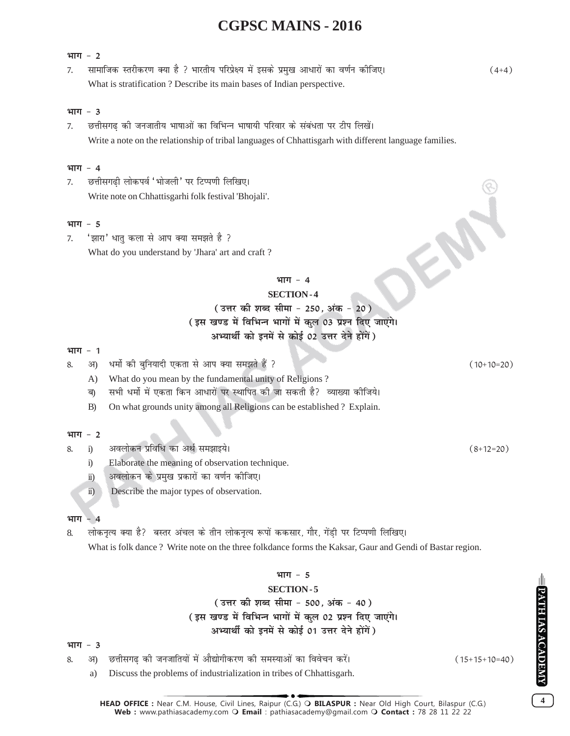#### **भाग - 2**

7- lkekftd Lrjhdj.k D;k gS \ Hkkjrh; ifjizs{; esa blds izeq[k vk/kjksa dk o.kZu dhft,A (4\$4) What is stratification ? Describe its main bases of Indian perspective.

### $4\pi\pi - 3$

7. व्हिनीसगढ की जनजातीय भाषाओं का विभिन्न भाषायी परिवार के संबंधता पर टीप लिखें। Write a note on the relationship of tribal languages of Chhattisgarh with different language families.

## **भाग - 4**

7. छत्तीसगढी लोकपर्व 'भोजली' पर टिप्पणी लिखिए। Write note on Chhattisgarhi folk festival 'Bhojali'.

### **भाग - 5**

7. 'झारा' धातु कला से आप क्या समझते है ? What do you understand by 'Jhara' art and craft ?

### भाग - 4

#### **SECTION - 4**

## **(उत्तर की शब्द सीमा - 250. अंक - 20)** (इस खण्ड में विभिन्न भागों में कुल 03 प्रश्न दिए जाएंगे। अभ्यार्थी को इनमें से कोई 02 **उत्तर देने होंगें** )

### **भाग - 1**

- 8- v) /eksZ dh cqfu;knh ,drk ls vki D;k le>rs gSa \ (10\$10¾20)
	- A) What do you mean by the fundamental unity of Religions ?
	- ब) सभी धर्मो में एकता किन आधारों पर स्थापित की जा सकती है? व्याख्या कीजिये।
	- B) On what grounds unity among all Religions can be established ? Explain.

#### **भाग - 2**

- 8- i) voyksdu izfof/ dk vFkZ le>kb;sA (8\$12¾20)
	- i) Elaborate the meaning of observation technique.
	- ii) अवलोकन के प्रमुख प्रकारों का वर्णन कीजिए।
	- ii) Describe the major types of observation.

#### **भाग - 4**

8. लोकनृत्य क्या है? बस्तर अंचल के तीन लोकनृत्य रूपों ककसार, गौर, गेंडी पर टिप्पणी लिखिए। What is folk dance ? Write note on the three folkdance forms the Kaksar, Gaur and Gendi of Bastar region.

#### **भाग - 5**

### **SECTION - 5**

( उत्तर की शब्द सीमा - 500, अंक - 40) (इस खण्ड में विभिन्न भागों में कुल 02 प्रश्न दिए जाएंगे। अभ्यार्थी को इनमें से कोई 01 उत्तर देने होंगें)

#### **भाग - 3**

8- v) NÙkhlx<+ dh tutkfr;ksa esa vkS|ksxhdj.k dh leL;kvksa dk foospu djsaA (15\$15\$10¾40)

a) Discuss the problems of industrialization in tribes of Chhattisgarh.

**HEAD OFFICE :** Near C.M. House, Civil Lines, Raipur (C.G.) **BILASPUR :** Near Old High Court, Bilaspur (C.G.) **Web :** www.pathiasacademy.com **Email** : pathiasacademy@gmail.com **Contact :** 78 28 11 22 22

PATH IAS ACADEMY